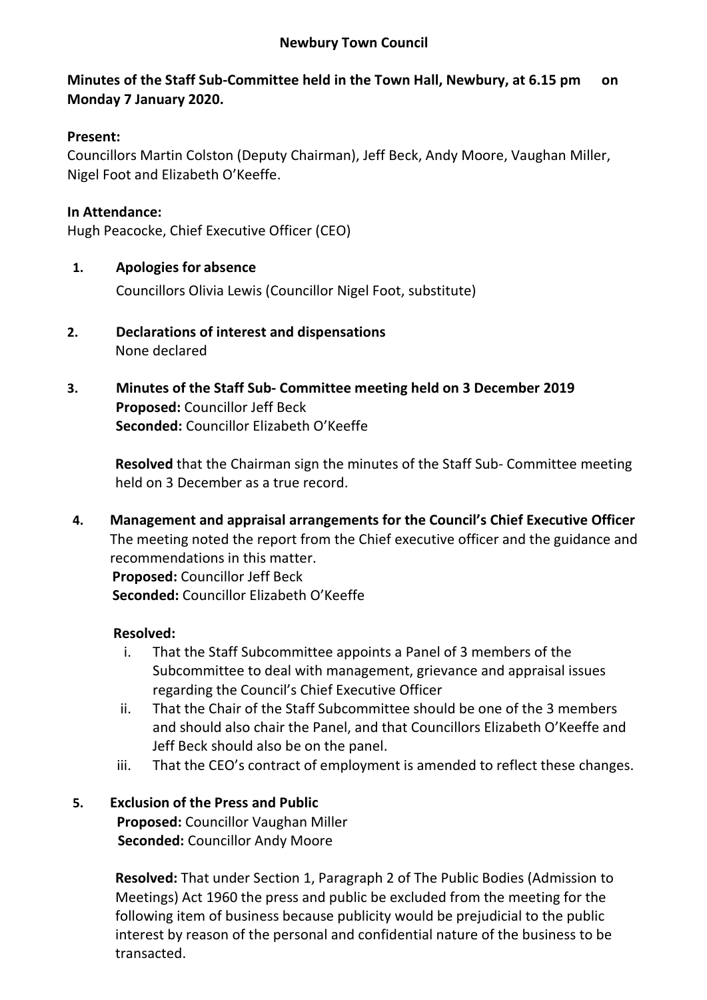#### **Newbury Town Council**

# **Minutes of the Staff Sub-Committee held in the Town Hall, Newbury, at 6.15 pm on Monday 7 January 2020.**

### **Present:**

Councillors Martin Colston (Deputy Chairman), Jeff Beck, Andy Moore, Vaughan Miller, Nigel Foot and Elizabeth O'Keeffe.

### **In Attendance:**

Hugh Peacocke, Chief Executive Officer (CEO)

### **1. Apologies for absence**

Councillors Olivia Lewis (Councillor Nigel Foot, substitute)

- **2. Declarations of interest and dispensations** None declared
- **3. Minutes of the Staff Sub- Committee meeting held on 3 December 2019 Proposed:** Councillor Jeff Beck **Seconded:** Councillor Elizabeth O'Keeffe

**Resolved** that the Chairman sign the minutes of the Staff Sub- Committee meeting held on 3 December as a true record.

**4. Management and appraisal arrangements for the Council's Chief Executive Officer** The meeting noted the report from the Chief executive officer and the guidance and recommendations in this matter.  **Proposed:** Councillor Jeff Beck  **Seconded:** Councillor Elizabeth O'Keeffe

#### **Resolved:**

- i. That the Staff Subcommittee appoints a Panel of 3 members of the Subcommittee to deal with management, grievance and appraisal issues regarding the Council's Chief Executive Officer
- ii. That the Chair of the Staff Subcommittee should be one of the 3 members and should also chair the Panel, and that Councillors Elizabeth O'Keeffe and Jeff Beck should also be on the panel.
- iii. That the CEO's contract of employment is amended to reflect these changes.

### **5. Exclusion of the Press and Public Proposed:** Councillor Vaughan Miller **Seconded:** Councillor Andy Moore

**Resolved:** That under Section 1, Paragraph 2 of The Public Bodies (Admission to Meetings) Act 1960 the press and public be excluded from the meeting for the following item of business because publicity would be prejudicial to the public interest by reason of the personal and confidential nature of the business to be transacted.